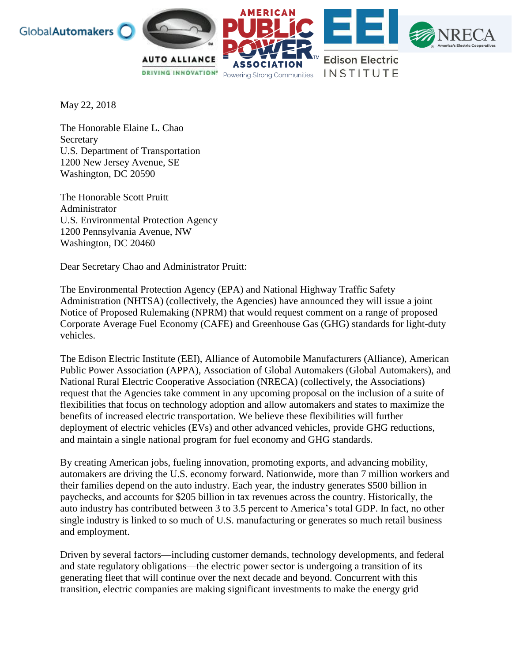



May 22, 2018

The Honorable Elaine L. Chao **Secretary** U.S. Department of Transportation 1200 New Jersey Avenue, SE Washington, DC 20590

The Honorable Scott Pruitt Administrator U.S. Environmental Protection Agency 1200 Pennsylvania Avenue, NW Washington, DC 20460

Dear Secretary Chao and Administrator Pruitt:

The Environmental Protection Agency (EPA) and National Highway Traffic Safety Administration (NHTSA) (collectively, the Agencies) have announced they will issue a joint Notice of Proposed Rulemaking (NPRM) that would request comment on a range of proposed Corporate Average Fuel Economy (CAFE) and Greenhouse Gas (GHG) standards for light-duty vehicles.

The Edison Electric Institute (EEI), Alliance of Automobile Manufacturers (Alliance), American Public Power Association (APPA), Association of Global Automakers (Global Automakers), and National Rural Electric Cooperative Association (NRECA) (collectively, the Associations) request that the Agencies take comment in any upcoming proposal on the inclusion of a suite of flexibilities that focus on technology adoption and allow automakers and states to maximize the benefits of increased electric transportation. We believe these flexibilities will further deployment of electric vehicles (EVs) and other advanced vehicles, provide GHG reductions, and maintain a single national program for fuel economy and GHG standards.

By creating American jobs, fueling innovation, promoting exports, and advancing mobility, automakers are driving the U.S. economy forward. Nationwide, more than 7 million workers and their families depend on the auto industry. Each year, the industry generates \$500 billion in paychecks, and accounts for \$205 billion in tax revenues across the country. Historically, the auto industry has contributed between 3 to 3.5 percent to America's total GDP. In fact, no other single industry is linked to so much of U.S. manufacturing or generates so much retail business and employment.

Driven by several factors—including customer demands, technology developments, and federal and state regulatory obligations—the electric power sector is undergoing a transition of its generating fleet that will continue over the next decade and beyond. Concurrent with this transition, electric companies are making significant investments to make the energy grid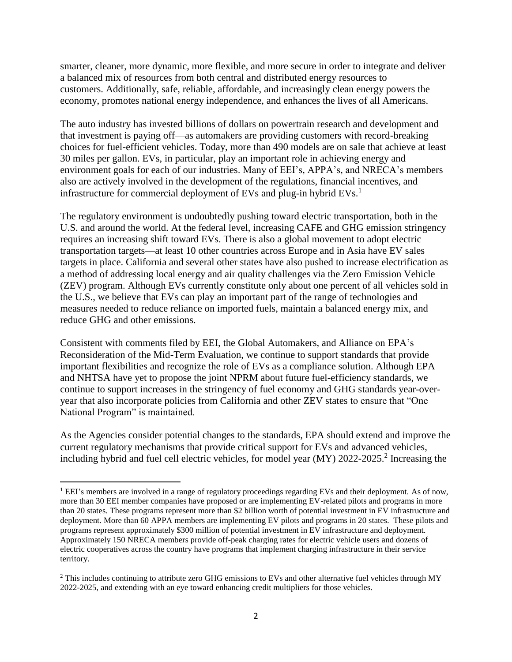smarter, cleaner, more dynamic, more flexible, and more secure in order to integrate and deliver a balanced mix of resources from both central and distributed energy resources to customers. Additionally, safe, reliable, affordable, and increasingly clean energy powers the economy, promotes national energy independence, and enhances the lives of all Americans.

The auto industry has invested billions of dollars on powertrain research and development and that investment is paying off—as automakers are providing customers with record-breaking choices for fuel-efficient vehicles. Today, more than 490 models are on sale that achieve at least 30 miles per gallon. EVs, in particular, play an important role in achieving energy and environment goals for each of our industries. Many of EEI's, APPA's, and NRECA's members also are actively involved in the development of the regulations, financial incentives, and infrastructure for commercial deployment of EVs and plug-in hybrid  $EVs$ <sup>1</sup>

The regulatory environment is undoubtedly pushing toward electric transportation, both in the U.S. and around the world. At the federal level, increasing CAFE and GHG emission stringency requires an increasing shift toward EVs. There is also a global movement to adopt electric transportation targets—at least 10 other countries across Europe and in Asia have EV sales targets in place. California and several other states have also pushed to increase electrification as a method of addressing local energy and air quality challenges via the Zero Emission Vehicle (ZEV) program. Although EVs currently constitute only about one percent of all vehicles sold in the U.S., we believe that EVs can play an important part of the range of technologies and measures needed to reduce reliance on imported fuels, maintain a balanced energy mix, and reduce GHG and other emissions.

Consistent with comments filed by EEI, the Global Automakers, and Alliance on EPA's Reconsideration of the Mid-Term Evaluation, we continue to support standards that provide important flexibilities and recognize the role of EVs as a compliance solution. Although EPA and NHTSA have yet to propose the joint NPRM about future fuel-efficiency standards, we continue to support increases in the stringency of fuel economy and GHG standards year-overyear that also incorporate policies from California and other ZEV states to ensure that "One National Program" is maintained.

As the Agencies consider potential changes to the standards, EPA should extend and improve the current regulatory mechanisms that provide critical support for EVs and advanced vehicles, including hybrid and fuel cell electric vehicles, for model year (MY) 2022-2025.<sup>2</sup> Increasing the

 $\overline{a}$ 

<sup>&</sup>lt;sup>1</sup> EEI's members are involved in a range of regulatory proceedings regarding EVs and their deployment. As of now, more than 30 EEI member companies have proposed or are implementing EV-related pilots and programs in more than 20 states. These programs represent more than \$2 billion worth of potential investment in EV infrastructure and deployment. More than 60 APPA members are implementing EV pilots and programs in 20 states. These pilots and programs represent approximately \$300 million of potential investment in EV infrastructure and deployment. Approximately 150 NRECA members provide off-peak charging rates for electric vehicle users and dozens of electric cooperatives across the country have programs that implement charging infrastructure in their service territory.

<sup>&</sup>lt;sup>2</sup> This includes continuing to attribute zero GHG emissions to EVs and other alternative fuel vehicles through MY 2022-2025, and extending with an eye toward enhancing credit multipliers for those vehicles.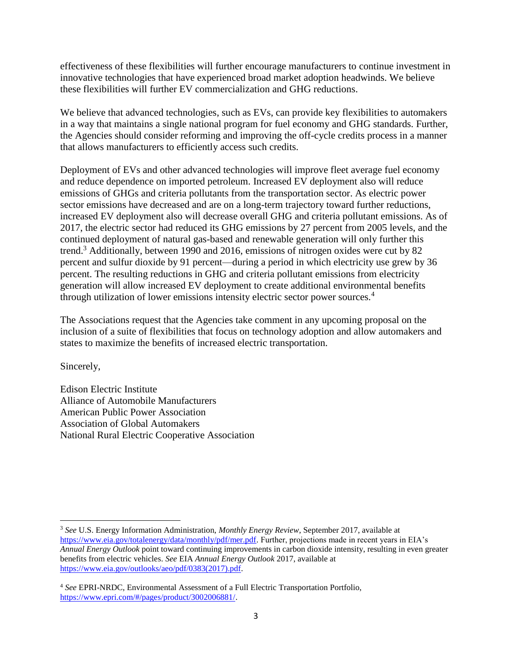effectiveness of these flexibilities will further encourage manufacturers to continue investment in innovative technologies that have experienced broad market adoption headwinds. We believe these flexibilities will further EV commercialization and GHG reductions.

We believe that advanced technologies, such as EVs, can provide key flexibilities to automakers in a way that maintains a single national program for fuel economy and GHG standards. Further, the Agencies should consider reforming and improving the off-cycle credits process in a manner that allows manufacturers to efficiently access such credits.

Deployment of EVs and other advanced technologies will improve fleet average fuel economy and reduce dependence on imported petroleum. Increased EV deployment also will reduce emissions of GHGs and criteria pollutants from the transportation sector. As electric power sector emissions have decreased and are on a long-term trajectory toward further reductions, increased EV deployment also will decrease overall GHG and criteria pollutant emissions. As of 2017, the electric sector had reduced its GHG emissions by 27 percent from 2005 levels, and the continued deployment of natural gas-based and renewable generation will only further this trend.<sup>3</sup> Additionally, between 1990 and 2016, emissions of nitrogen oxides were cut by 82 percent and sulfur dioxide by 91 percent—during a period in which electricity use grew by 36 percent. The resulting reductions in GHG and criteria pollutant emissions from electricity generation will allow increased EV deployment to create additional environmental benefits through utilization of lower emissions intensity electric sector power sources.<sup>4</sup>

The Associations request that the Agencies take comment in any upcoming proposal on the inclusion of a suite of flexibilities that focus on technology adoption and allow automakers and states to maximize the benefits of increased electric transportation.

Sincerely,

Edison Electric Institute Alliance of Automobile Manufacturers American Public Power Association Association of Global Automakers National Rural Electric Cooperative Association

 $\overline{a}$ <sup>3</sup> *See* U.S. Energy Information Administration, *Monthly Energy Review*, September 2017, available at [https://www.eia.gov/totalenergy/data/monthly/pdf/mer.pdf.](https://www.eia.gov/totalenergy/data/monthly/pdf/mer.pdf) Further, projections made in recent years in EIA's *Annual Energy Outlook* point toward continuing improvements in carbon dioxide intensity, resulting in even greater benefits from electric vehicles. *See* EIA *Annual Energy Outlook* 2017, available at [https://www.eia.gov/outlooks/aeo/pdf/0383\(2017\).pdf.](https://www.eia.gov/outlooks/aeo/pdf/0383(2017).pdf)

<sup>4</sup> *See* EPRI-NRDC, Environmental Assessment of a Full Electric Transportation Portfolio, [https://www.epri.com/#/pages/product/3002006881/.](https://www.epri.com/#/pages/product/3002006881/)